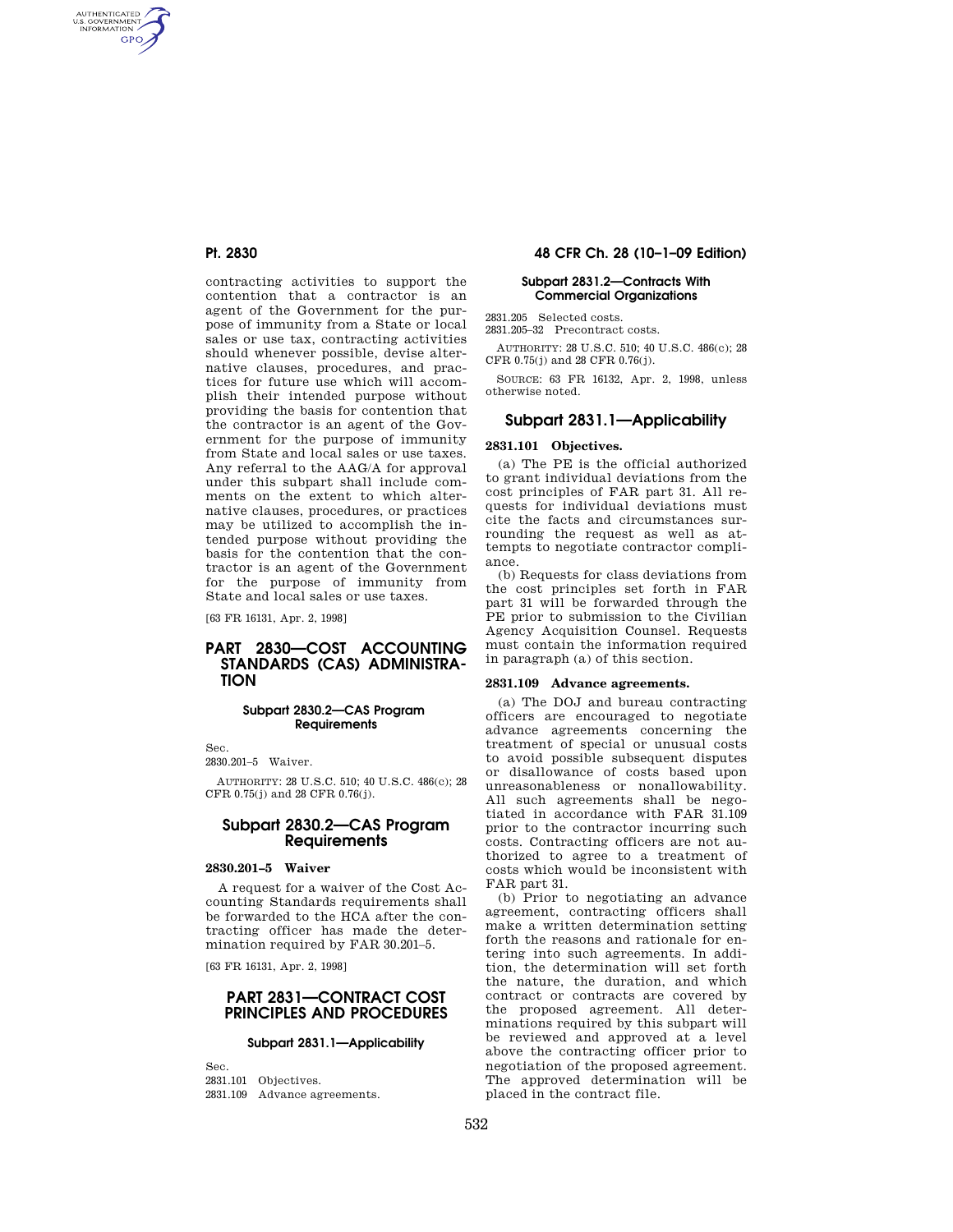AUTHENTICATED<br>U.S. GOVERNMENT<br>INFORMATION **GPO** 

> contracting activities to support the contention that a contractor is an agent of the Government for the purpose of immunity from a State or local sales or use tax, contracting activities should whenever possible, devise alternative clauses, procedures, and practices for future use which will accomplish their intended purpose without providing the basis for contention that the contractor is an agent of the Government for the purpose of immunity from State and local sales or use taxes. Any referral to the AAG/A for approval under this subpart shall include comments on the extent to which alternative clauses, procedures, or practices may be utilized to accomplish the intended purpose without providing the basis for the contention that the contractor is an agent of the Government for the purpose of immunity from State and local sales or use taxes.

[63 FR 16131, Apr. 2, 1998]

# **PART 2830—COST ACCOUNTING STANDARDS (CAS) ADMINISTRA-TION**

#### **Subpart 2830.2—CAS Program Requirements**

Sec.

2830.201–5 Waiver.

AUTHORITY: 28 U.S.C. 510; 40 U.S.C. 486(c); 28 CFR 0.75(j) and 28 CFR 0.76(j).

## **Subpart 2830.2—CAS Program Requirements**

# **2830.201–5 Waiver**

A request for a waiver of the Cost Accounting Standards requirements shall be forwarded to the HCA after the contracting officer has made the determination required by FAR 30.201–5.

[63 FR 16131, Apr. 2, 1998]

## **PART 2831—CONTRACT COST PRINCIPLES AND PROCEDURES**

#### **Subpart 2831.1—Applicability**

Sec. 2831.101 Objectives. 2831.109 Advance agreements.

# **Pt. 2830 48 CFR Ch. 28 (10–1–09 Edition)**

## **Subpart 2831.2—Contracts With Commercial Organizations**

2831.205 Selected costs. 2831.205–32 Precontract costs.

AUTHORITY: 28 U.S.C. 510; 40 U.S.C. 486(c); 28 CFR 0.75(j) and 28 CFR 0.76(j).

SOURCE: 63 FR 16132, Apr. 2, 1998, unless otherwise noted.

# **Subpart 2831.1—Applicability**

## **2831.101 Objectives.**

(a) The PE is the official authorized to grant individual deviations from the cost principles of FAR part 31. All requests for individual deviations must cite the facts and circumstances surrounding the request as well as attempts to negotiate contractor compliance.

(b) Requests for class deviations from the cost principles set forth in FAR part 31 will be forwarded through the PE prior to submission to the Civilian Agency Acquisition Counsel. Requests must contain the information required in paragraph (a) of this section.

#### **2831.109 Advance agreements.**

(a) The DOJ and bureau contracting officers are encouraged to negotiate advance agreements concerning the treatment of special or unusual costs to avoid possible subsequent disputes or disallowance of costs based upon unreasonableness or nonallowability. All such agreements shall be negotiated in accordance with FAR 31.109 prior to the contractor incurring such costs. Contracting officers are not authorized to agree to a treatment of costs which would be inconsistent with FAR part 31.

(b) Prior to negotiating an advance agreement, contracting officers shall make a written determination setting forth the reasons and rationale for entering into such agreements. In addition, the determination will set forth the nature, the duration, and which contract or contracts are covered by the proposed agreement. All determinations required by this subpart will be reviewed and approved at a level above the contracting officer prior to negotiation of the proposed agreement. The approved determination will be placed in the contract file.